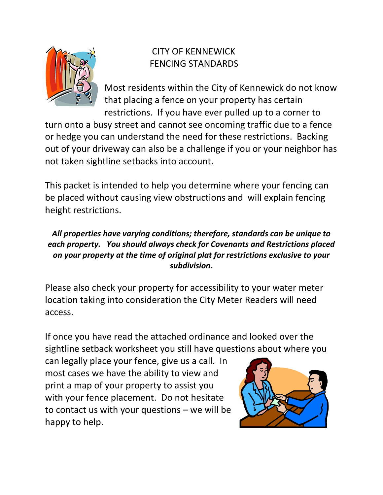

# CITY OF KENNEWICK FENCING STANDARDS

Most residents within the City of Kennewick do not know that placing a fence on your property has certain restrictions. If you have ever pulled up to a corner to

turn onto a busy street and cannot see oncoming traffic due to a fence or hedge you can understand the need for these restrictions. Backing out of your driveway can also be a challenge if you or your neighbor has not taken sightline setbacks into account.

This packet is intended to help you determine where your fencing can be placed without causing view obstructions and will explain fencing height restrictions.

### *All properties have varying conditions; therefore, standards can be unique to each property. You should always check for Covenants and Restrictions placed on your property at the time of original plat for restrictions exclusive to your subdivision.*

Please also check your property for accessibility to your water meter location taking into consideration the City Meter Readers will need access.

If once you have read the attached ordinance and looked over the sightline setback worksheet you still have questions about where you

can legally place your fence, give us a call. In most cases we have the ability to view and print a map of your property to assist you with your fence placement. Do not hesitate to contact us with your questions – we will be happy to help.

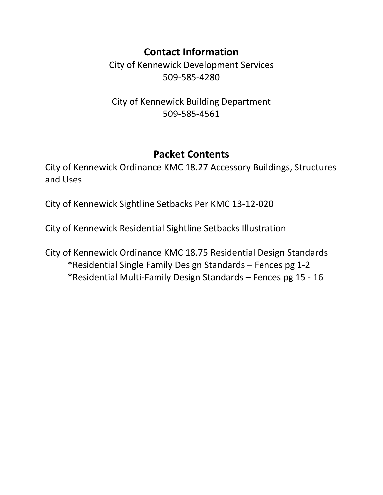# **Contact Information**

City of Kennewick Development Services 509-585-4280

City of Kennewick Building Department 509-585-4561

## **Packet Contents**

City of Kennewick Ordinance KMC 18.27 Accessory Buildings, Structures and Uses

City of Kennewick Sightline Setbacks Per KMC 13-12-020

City of Kennewick Residential Sightline Setbacks Illustration

City of Kennewick Ordinance KMC 18.75 Residential Design Standards \*Residential Single Family Design Standards – Fences pg 1-2 \*Residential Multi-Family Design Standards – Fences pg 15 - 16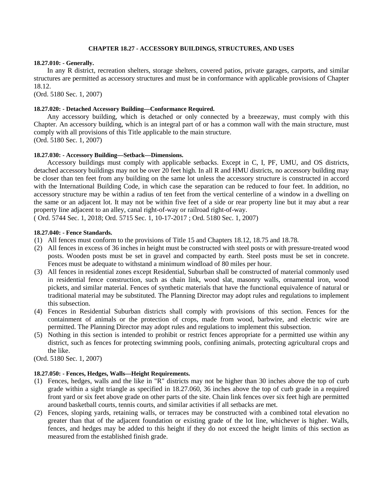#### **CHAPTER 18.27 - ACCESSORY BUILDINGS, STRUCTURES, AND USES**

#### **18.27.010: - Generally.**

In any R district, recreation shelters, storage shelters, covered patios, private garages, carports, and similar structures are permitted as accessory structures and must be in conformance with applicable provisions of Chapter 18.12.

(Ord. 5180 Sec. 1, 2007)

#### **18.27.020: - Detached Accessory Building—Conformance Required.**

Any accessory building, which is detached or only connected by a breezeway, must comply with this Chapter. An accessory building, which is an integral part of or has a common wall with the main structure, must comply with all provisions of this Title applicable to the main structure.

(Ord. 5180 Sec. 1, 2007)

#### **18.27.030: - Accessory Building—Setback—Dimensions.**

Accessory buildings must comply with applicable setbacks. Except in C, I, PF, UMU, and OS districts, detached accessory buildings may not be over 20 feet high. In all R and HMU districts, no accessory building may be closer than ten feet from any building on the same lot unless the accessory structure is constructed in accord with the International Building Code, in which case the separation can be reduced to four feet. In addition, no accessory structure may be within a radius of ten feet from the vertical centerline of a window in a dwelling on the same or an adjacent lot. It may not be within five feet of a side or rear property line but it may abut a rear property line adjacent to an alley, canal right-of-way or railroad right-of-way.

( Ord. 5744 Sec. 1, 2018; Ord. 5715 Sec. 1, 10-17-2017 ; Ord. 5180 Sec. 1, 2007)

#### **18.27.040: - Fence Standards.**

- (1) All fences must conform to the provisions of Title 15 and Chapters 18.12, 18.75 and 18.78.
- (2) All fences in excess of 36 inches in height must be constructed with steel posts or with pressure-treated wood posts. Wooden posts must be set in gravel and compacted by earth. Steel posts must be set in concrete. Fences must be adequate to withstand a minimum windload of 80 miles per hour.
- (3) All fences in residential zones except Residential, Suburban shall be constructed of material commonly used in residential fence construction, such as chain link, wood slat, masonry walls, ornamental iron, wood pickets, and similar material. Fences of synthetic materials that have the functional equivalence of natural or traditional material may be substituted. The Planning Director may adopt rules and regulations to implement this subsection.
- (4) Fences in Residential Suburban districts shall comply with provisions of this section. Fences for the containment of animals or the protection of crops, made from wood, barbwire, and electric wire are permitted. The Planning Director may adopt rules and regulations to implement this subsection.
- (5) Nothing in this section is intended to prohibit or restrict fences appropriate for a permitted use within any district, such as fences for protecting swimming pools, confining animals, protecting agricultural crops and the like.
- (Ord. 5180 Sec. 1, 2007)

#### **18.27.050: - Fences, Hedges, Walls—Height Requirements.**

- (1) Fences, hedges, walls and the like in "R" districts may not be higher than 30 inches above the top of curb grade within a sight triangle as specified in 18.27.060, 36 inches above the top of curb grade in a required front yard or six feet above grade on other parts of the site. Chain link fences over six feet high are permitted around basketball courts, tennis courts, and similar activities if all setbacks are met.
- (2) Fences, sloping yards, retaining walls, or terraces may be constructed with a combined total elevation no greater than that of the adjacent foundation or existing grade of the lot line, whichever is higher. Walls, fences, and hedges may be added to this height if they do not exceed the height limits of this section as measured from the established finish grade.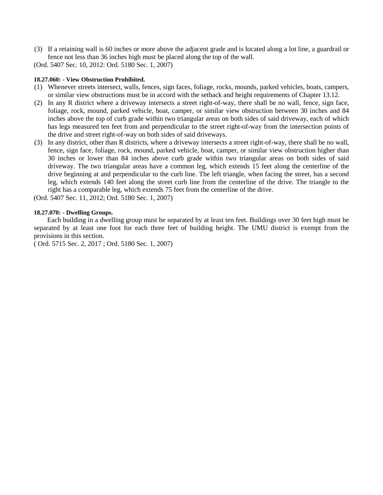(3) If a retaining wall is 60 inches or more above the adjacent grade and is located along a lot line, a guardrail or fence not less than 36 inches high must be placed along the top of the wall.

(Ord. 5407 Sec. 10, 2012: Ord. 5180 Sec. 1, 2007)

#### **18.27.060: - View Obstruction Prohibited.**

- (1) Whenever streets intersect, walls, fences, sign faces, foliage, rocks, mounds, parked vehicles, boats, campers, or similar view obstructions must be in accord with the setback and height requirements of Chapter 13.12.
- (2) In any R district where a driveway intersects a street right-of-way, there shall be no wall, fence, sign face, foliage, rock, mound, parked vehicle, boat, camper, or similar view obstruction between 30 inches and 84 inches above the top of curb grade within two triangular areas on both sides of said driveway, each of which has legs measured ten feet from and perpendicular to the street right-of-way from the intersection points of the drive and street right-of-way on both sides of said driveways.
- (3) In any district, other than R districts, where a driveway intersects a street right-of-way, there shall be no wall, fence, sign face, foliage, rock, mound, parked vehicle, boat, camper, or similar view obstruction higher than 30 inches or lower than 84 inches above curb grade within two triangular areas on both sides of said driveway. The two triangular areas have a common leg, which extends 15 feet along the centerline of the drive beginning at and perpendicular to the curb line. The left triangle, when facing the street, has a second leg, which extends 140 feet along the street curb line from the centerline of the drive. The triangle to the right has a comparable leg, which extends 75 feet from the centerline of the drive.

(Ord. 5407 Sec. 11, 2012; Ord. 5180 Sec. 1, 2007)

#### **18.27.070: - Dwelling Groups.**

Each building in a dwelling group must be separated by at least ten feet. Buildings over 30 feet high must be separated by at least one foot for each three feet of building height. The UMU district is exempt from the provisions in this section.

( Ord. 5715 Sec. 2, 2017 ; Ord. 5180 Sec. 1, 2007)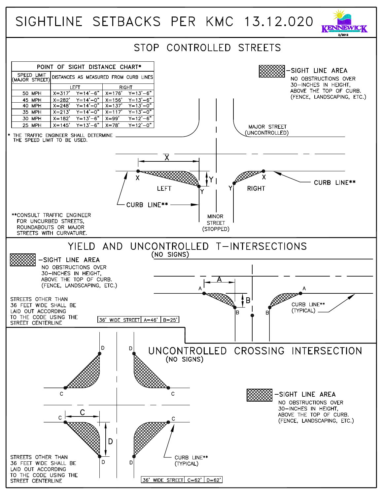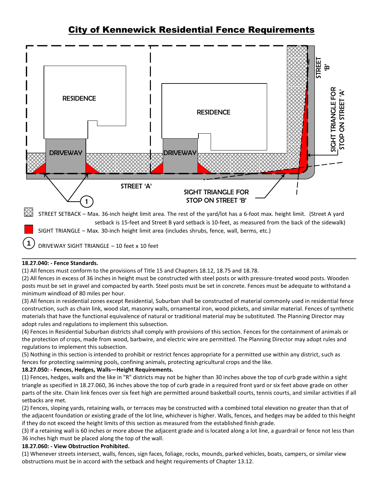### City of Kennewick Residential Fence Requirements



STREET SETBACK – Max. 36-inch height limit area. The rest of the yard/lot has a 6-foot max. height limit. (Street A yard setback is 15-feet and Street B yard setback is 10-feet, as measured from the back of the sidewalk) SIGHT TRIANGLE – Max. 30-inch height limit area (includes shrubs, fence, wall, berms, etc.)

DRIVEWAY SIGHT TRIANGLE – 10 feet x 10 feet **1**

#### \_\_\_\_\_\_\_\_\_\_\_\_\_\_\_\_\_\_\_\_\_\_\_\_\_\_\_\_\_\_\_\_\_\_\_\_\_\_\_\_\_\_\_\_\_\_\_\_\_\_\_\_\_\_\_\_\_\_\_\_\_\_\_\_\_\_\_\_\_\_\_\_\_\_\_\_\_\_\_\_\_\_\_\_\_\_\_\_\_\_\_\_\_\_\_\_\_\_\_\_\_\_\_\_\_\_\_\_\_\_\_\_\_\_\_\_\_\_\_\_\_\_\_ **18.27.040: - Fence Standards.**

(1) All fences must conform to the provisions of Title 15 and Chapters 18.12, 18.75 and 18.78.

(2) All fences in excess of 36 inches in height must be constructed with steel posts or with pressure-treated wood posts. Wooden posts must be set in gravel and compacted by earth. Steel posts must be set in concrete. Fences must be adequate to withstand a minimum windload of 80 miles per hour.

(3) All fences in residential zones except Residential, Suburban shall be constructed of material commonly used in residential fence construction, such as chain link, wood slat, masonry walls, ornamental iron, wood pickets, and similar material. Fences of synthetic materials that have the functional equivalence of natural or traditional material may be substituted. The Planning Director may adopt rules and regulations to implement this subsection.

(4) Fences in Residential Suburban districts shall comply with provisions of this section. Fences for the containment of animals or the protection of crops, made from wood, barbwire, and electric wire are permitted. The Planning Director may adopt rules and regulations to implement this subsection.

(5) Nothing in this section is intended to prohibit or restrict fences appropriate for a permitted use within any district, such as fences for protecting swimming pools, confining animals, protecting agricultural crops and the like.

#### **18.27.050: - Fences, Hedges, Walls—Height Requirements.**

(1) Fences, hedges, walls and the like in "R" districts may not be higher than 30 inches above the top of curb grade within a sight triangle as specified in 18.27.060, 36 inches above the top of curb grade in a required front yard or six feet above grade on other parts of the site. Chain link fences over six feet high are permitted around basketball courts, tennis courts, and similar activities if all setbacks are met.

(2) Fences, sloping yards, retaining walls, or terraces may be constructed with a combined total elevation no greater than that of the adjacent foundation or existing grade of the lot line, whichever is higher. Walls, fences, and hedges may be added to this height if they do not exceed the height limits of this section as measured from the established finish grade.

(3) If a retaining wall is 60 inches or more above the adjacent grade and is located along a lot line, a guardrail or fence not less than 36 inches high must be placed along the top of the wall.

#### **18.27.060: - View Obstruction Prohibited.**

(1) Whenever streets intersect, walls, fences, sign faces, foliage, rocks, mounds, parked vehicles, boats, campers, or similar view obstructions must be in accord with the setback and height requirements of Chapter 13.12.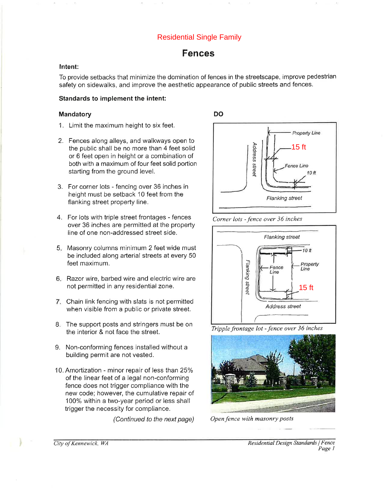### **Residential Single Family**

### **Fences**

#### Intent:

To provide setbacks that minimize the domination of fences in the streetscape, improve pedestrian safety on sidewalks, and improve the aesthetic appearance of public streets and fences.

#### **Standards to implement the intent:**

#### Mandatory

- 1. Limit the maximum height to six feet.
- 2. Fences along alleys, and walkways open to the public shall be no more than 4 feet solid or 6 feet open in height or a combination of both with a maximum of four feet solid portion starting from the ground level.
- 3. For corner lots fencing over 36 inches in height must be setback 10 feet from the flanking street property line.
- 4. For lots with triple street frontages fences over 36 inches are permitted at the property line of one non-addressed street side.
- 5. Masonry columns minimum 2 feet wide must be included along arterial streets at every 50 feet maximum.
- 6. Razor wire, barbed wire and electric wire are not permitted in any residential zone.
- 7. Chain link fencing with slats is not permitted when visible from a public or private street.
- 8. The support posts and stringers must be on the interior & not face the street.
- 9. Non-conforming fences installed without a building permit are not vested.
- 10. Amortization minor repair of less than 25% of the linear feet of a legal non-conforming fence does not trigger compliance with the new code; however, the cumulative repair of 100% within a two-year period or less shall trigger the necessity for compliance.

(Continued to the next page)



Corner lots - fence over 36 inches



Tripple frontage lot - fence over 36 inches



Open fence with masonry posts

City of Kennewick, WA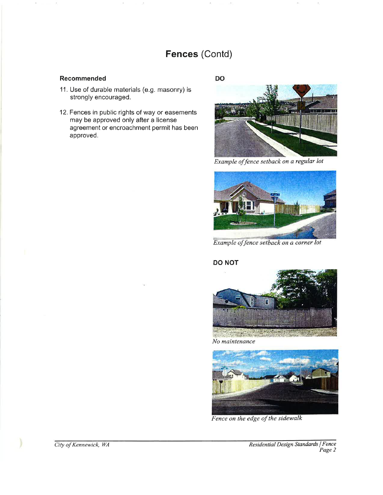## Fences (Contd)

#### Recommended

- 11. Use of durable materials (e.g. masonry) is strongly encouraged.
- 12. Fences in public rights of way or easements may be approved only after a license agreement or encroachment permit has been approved.

DO



Example of fence setback on a regular lot



Example of fence setback on a corner lot

#### **DO NOT**



都高路 No maintenance



Fence on the edge of the sidewalk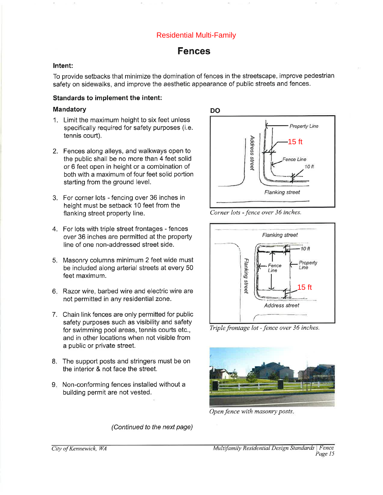### **Residential Multi-Family**

### **Fences**

#### Intent:

To provide setbacks that minimize the domination of fences in the streetscape, improve pedestrian safety on sidewalks, and improve the aesthetic appearance of public streets and fences.

#### Standards to implement the intent:

#### **Mandatory**

- 1. Limit the maximum height to six feet unless specifically required for safety purposes (i.e. tennis court).
- 2. Fences along alleys, and walkways open to the public shall be no more than 4 feet solid or 6 feet open in height or a combination of both with a maximum of four feet solid portion starting from the ground level.
- 3. For corner lots fencing over 36 inches in height must be setback 10 feet from the flanking street property line.
- 4. For lots with triple street frontages fences over 36 inches are permitted at the property line of one non-addressed street side.
- 5. Masonry columns minimum 2 feet wide must be included along arterial streets at every 50 feet maximum.
- 6. Razor wire, barbed wire and electric wire are not permitted in any residential zone.
- 7. Chain link fences are only permitted for public safety purposes such as visibility and safety for swimming pool areas, tennis courts etc., and in other locations when not visible from a public or private street.
- 8. The support posts and stringers must be on the interior & not face the street.
- 9. Non-conforming fences installed without a building permit are not vested.





Corner lots - fence over 36 inches.



Triple frontage lot - fence over 36 inches.



Open fence with masonry posts.